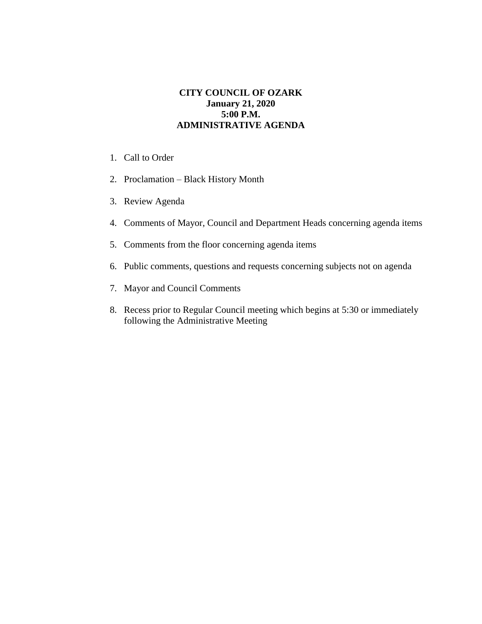## **CITY COUNCIL OF OZARK January 21, 2020 5:00 P.M. ADMINISTRATIVE AGENDA**

- 1. Call to Order
- 2. Proclamation Black History Month
- 3. Review Agenda
- 4. Comments of Mayor, Council and Department Heads concerning agenda items
- 5. Comments from the floor concerning agenda items
- 6. Public comments, questions and requests concerning subjects not on agenda
- 7. Mayor and Council Comments
- 8. Recess prior to Regular Council meeting which begins at 5:30 or immediately following the Administrative Meeting